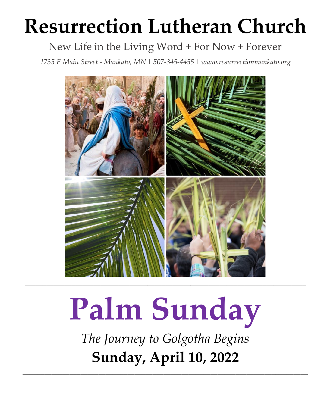# **Resurrection Lutheran Church**

# New Life in the Living Word + For Now + Forever

*1735 E Main Street - Mankato, MN | 507-345-4455 [| www.resurrectionmankato.org](http://www.resurrectionmankato.org/)*



# **Palm Sunday**

*The Journey to Golgotha Begins* **Sunday, April 10, 2022**

*\_\_\_\_\_\_\_\_\_\_\_\_\_\_\_\_\_\_\_\_\_\_\_\_\_\_\_\_\_\_\_\_\_\_\_\_\_\_\_\_\_\_\_\_\_\_\_\_\_\_\_\_\_\_\_\_\_\_\_\_\_\_\_\_\_\_\_\_\_\_\_\_\_\_\_\_\_\_\_*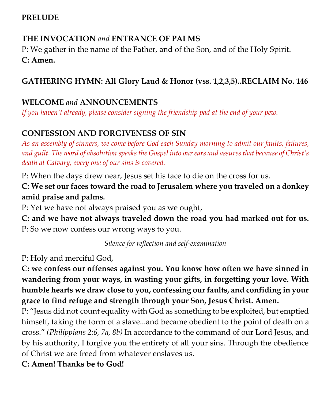#### **PRELUDE**

# **THE INVOCATION** *and* **ENTRANCE OF PALMS**

P: We gather in the name of the Father, and of the Son, and of the Holy Spirit. **C: Amen.** 

# **GATHERING HYMN: All Glory Laud & Honor (vss. 1,2,3,5)..RECLAIM No. 146**

#### **WELCOME** *and* **ANNOUNCEMENTS**

*If you haven't already, please consider signing the friendship pad at the end of your pew.* 

# **CONFESSION AND FORGIVENESS OF SIN**

*As an assembly of sinners, we come before God each Sunday morning to admit our faults, failures, and guilt. The word of absolution speaks the Gospel into our ears and assures that because of Christ's death at Calvary, every one of our sins is covered.* 

P: When the days drew near, Jesus set his face to die on the cross for us.

**C: We set our faces toward the road to Jerusalem where you traveled on a donkey amid praise and palms.**

P: Yet we have not always praised you as we ought,

**C: and we have not always traveled down the road you had marked out for us.** P: So we now confess our wrong ways to you.

*Silence for reflection and self-examination*

P: Holy and merciful God,

**C: we confess our offenses against you. You know how often we have sinned in wandering from your ways, in wasting your gifts, in forgetting your love. With humble hearts we draw close to you, confessing our faults, and confiding in your grace to find refuge and strength through your Son, Jesus Christ. Amen.**

P: "Jesus did not count equality with God as something to be exploited, but emptied himself, taking the form of a slave...and became obedient to the point of death on a cross." *(Philippians 2:6, 7a, 8b)* In accordance to the command of our Lord Jesus, and by his authority, I forgive you the entirety of all your sins. Through the obedience of Christ we are freed from whatever enslaves us.

**C: Amen! Thanks be to God!**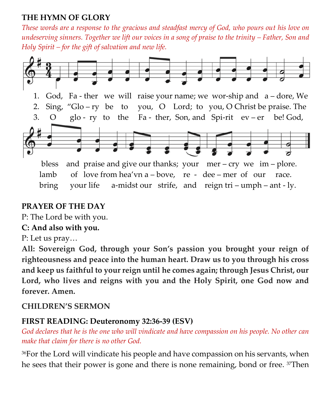#### **THE HYMN OF GLORY**

*These words are a response to the gracious and steadfast mercy of God, who pours out his love on undeserving sinners. Together we lift our voices in a song of praise to the trinity – Father, Son and Holy Spirit – for the gift of salvation and new life.* 



bring your life a-midst our strife, and reign tri – umph – ant - ly.

# **PRAYER OF THE DAY**

P: The Lord be with you.

# **C: And also with you.**

P: Let us pray…

**All: Sovereign God, through your Son's passion you brought your reign of righteousness and peace into the human heart. Draw us to you through his cross and keep us faithful to your reign until he comes again; through Jesus Christ, our Lord, who lives and reigns with you and the Holy Spirit, one God now and forever. Amen.**

# **CHILDREN'S SERMON**

#### **FIRST READING: Deuteronomy 32:36-39 (ESV)**

*God declares that he is the one who will vindicate and have compassion on his people. No other can make that claim for there is no other God.* 

<sup>36</sup>For the Lord will vindicate his people and have compassion on his servants, when he sees that their power is gone and there is none remaining, bond or free. 37Then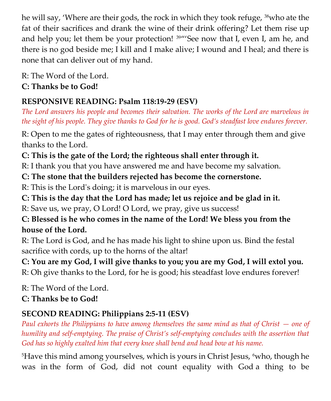he will say, 'Where are their gods, the rock in which they took refuge, 38who ate the fat of their sacrifices and drank the wine of their drink offering? Let them rise up and help you; let them be your protection!  $39''$ See now that I, even I, am he, and there is no god beside me; I kill and I make alive; I wound and I heal; and there is none that can deliver out of my hand.

R: The Word of the Lord. **C: Thanks be to God!** 

# **RESPONSIVE READING: Psalm 118:19-29 (ESV)**

*The Lord answers his people and becomes their salvation. The works of the Lord are marvelous in the sight of his people. They give thanks to God for he is good. God's steadfast love endures forever.* 

R: Open to me the gates of righteousness, that I may enter through them and give thanks to the Lord.

# **C: This is the gate of the Lord; the righteous shall enter through it.**

R: I thank you that you have answered me and have become my salvation.

# **C: The stone that the builders rejected has become the cornerstone.**

R: This is the Lord's doing; it is marvelous in our eyes.

# **C: This is the day that the Lord has made; let us rejoice and be glad in it.**

R: Save us, we pray, O Lord! O Lord, we pray, give us success!

# **C: Blessed is he who comes in the name of the Lord! We bless you from the house of the Lord.**

R: The Lord is God, and he has made his light to shine upon us. Bind the festal sacrifice with cords, up to the horns of the altar!

**C: You are my God, I will give thanks to you; you are my God, I will extol you.** R: Oh give thanks to the Lord, for he is good; his steadfast love endures forever!

R: The Word of the Lord. **C: Thanks be to God!** 

# **SECOND READING: Philippians 2:5-11 (ESV)**

*Paul exhorts the Philippians to have among themselves the same mind as that of Christ*  $-$  *one of humility and self-emptying. The praise of Christ's self-emptying concludes with the assertion that God has so highly exalted him that every knee shall bend and head bow at his name.* 

<sup>5</sup>Have this mind among yourselves, which is yours in Christ Jesus, <sup>6</sup>who, though he was in the form of God, did not count equality with God a thing to be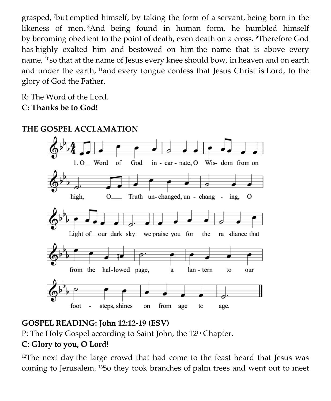grasped, <sup>7</sup>but emptied himself, by taking the form of a servant, being born in the likeness of men. <sup>8</sup>And being found in human form, he humbled himself by becoming obedient to the point of death, even death on a cross. <sup>9</sup>Therefore God has highly exalted him and bestowed on him the name that is above every name, <sup>10</sup>so that at the name of Jesus every knee should bow, in heaven and on earth and under the earth, <sup>11</sup>and every tongue confess that Jesus Christ is Lord, to the glory of God the Father.

R: The Word of the Lord. **C: Thanks be to God!** 



# **THE GOSPEL ACCLAMATION**

# **GOSPEL READING: John 12:12-19 (ESV)**

P: The Holy Gospel according to Saint John, the 12<sup>th</sup> Chapter.

# **C: Glory to you, O Lord!**

<sup>12</sup>The next day the large crowd that had come to the feast heard that Jesus was coming to Jerusalem. <sup>13</sup>So they took branches of palm trees and went out to meet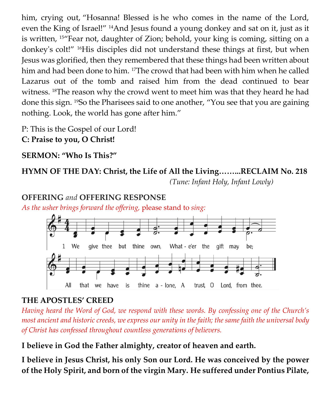him, crying out, "Hosanna! Blessed is he who comes in the name of the Lord, even the King of Israel!" <sup>14</sup>And Jesus found a young donkey and sat on it, just as it is written, 15"Fear not, daughter of Zion; behold, your king is coming, sitting on a donkey's colt!" 16His disciples did not understand these things at first, but when Jesus was glorified, then they remembered that these things had been written about him and had been done to him. <sup>17</sup>The crowd that had been with him when he called Lazarus out of the tomb and raised him from the dead continued to bear witness. <sup>18</sup>The reason why the crowd went to meet him was that they heard he had done this sign. <sup>19</sup>So the Pharisees said to one another, "You see that you are gaining nothing. Look, the world has gone after him."

P: This is the Gospel of our Lord! **C: Praise to you, O Christ!** 

**SERMON: "Who Is This?"** 

# **HYMN OF THE DAY: Christ, the Life of All the Living……...RECLAIM No. 218**

 *(Tune: Infant Holy, Infant Lowly)*

#### **OFFERING** *and* **OFFERING RESPONSE**

*As the usher brings forward the offering,* please stand to *sing:*



# **THE APOSTLES' CREED**

*Having heard the Word of God, we respond with these words. By confessing one of the Church's most ancient and historic creeds, we express our unity in the faith; the same faith the universal body of Christ has confessed throughout countless generations of believers.* 

**I believe in God the Father almighty, creator of heaven and earth.**

**I believe in Jesus Christ, his only Son our Lord. He was conceived by the power of the Holy Spirit, and born of the virgin Mary. He suffered under Pontius Pilate,**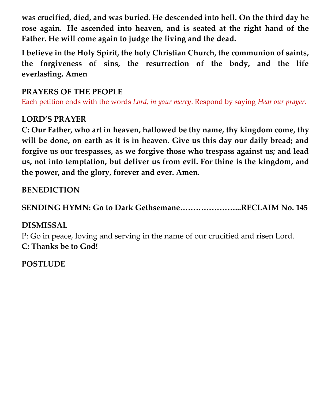**was crucified, died, and was buried. He descended into hell. On the third day he rose again. He ascended into heaven, and is seated at the right hand of the Father. He will come again to judge the living and the dead.**

**I believe in the Holy Spirit, the holy Christian Church, the communion of saints, the forgiveness of sins, the resurrection of the body, and the life everlasting. Amen**

# **PRAYERS OF THE PEOPLE**

Each petition ends with the words *Lord, in your mercy*. Respond by saying *Hear our prayer.*

# **LORD'S PRAYER**

**C: Our Father, who art in heaven, hallowed be thy name, thy kingdom come, thy will be done, on earth as it is in heaven. Give us this day our daily bread; and forgive us our trespasses, as we forgive those who trespass against us; and lead us, not into temptation, but deliver us from evil. For thine is the kingdom, and the power, and the glory, forever and ever. Amen.**

# **BENEDICTION**

**SENDING HYMN: Go to Dark Gethsemane…………………...RECLAIM No. 145**

# **DISMISSAL**

P: Go in peace, loving and serving in the name of our crucified and risen Lord. **C: Thanks be to God!**

**POSTLUDE**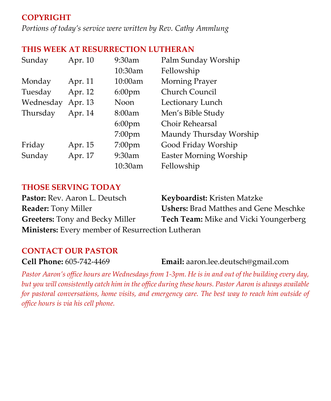# **COPYRIGHT**

*Portions of today's service were written by Rev. Cathy Ammlung*

#### **THIS WEEK AT RESURRECTION LUTHERAN**

| Sunday    | Apr. 10 | 9:30am    | Palm Sunday Worship           |
|-----------|---------|-----------|-------------------------------|
|           |         | 10:30am   | Fellowship                    |
| Monday    | Apr. 11 | 10:00am   | Morning Prayer                |
| Tuesday   | Apr. 12 | $6:00$ pm | Church Council                |
| Wednesday | Apr. 13 | Noon      | Lectionary Lunch              |
| Thursday  | Apr. 14 | 8:00am    | Men's Bible Study             |
|           |         | $6:00$ pm | <b>Choir Rehearsal</b>        |
|           |         | $7:00$ pm | Maundy Thursday Worship       |
| Friday    | Apr. 15 | $7:00$ pm | Good Friday Worship           |
| Sunday    | Apr. 17 | 9:30am    | <b>Easter Morning Worship</b> |
|           |         | 10:30am   | Fellowship                    |

#### **THOSE SERVING TODAY**

| Pastor: Rev. Aaron L. Deutsch                           | Keyboardist: Kristen Matzke                  |  |  |
|---------------------------------------------------------|----------------------------------------------|--|--|
| <b>Reader:</b> Tony Miller                              | <b>Ushers:</b> Brad Matthes and Gene Meschke |  |  |
| <b>Greeters:</b> Tony and Becky Miller                  | <b>Tech Team:</b> Mike and Vicki Youngerberg |  |  |
| <b>Ministers:</b> Every member of Resurrection Lutheran |                                              |  |  |

#### **CONTACT OUR PASTOR**

**Cell Phone:** 605-742-4469 **Email:** [aaron.lee.deutsch@gmail.com](mailto:aaron.lee.deutsch@gmail.com)

*Pastor Aaron's office hours are Wednesdays from 1-3pm. He is in and out of the building every day, but you will consistently catch him in the office during these hours. Pastor Aaron is always available for pastoral conversations, home visits, and emergency care. The best way to reach him outside of office hours is via his cell phone.*